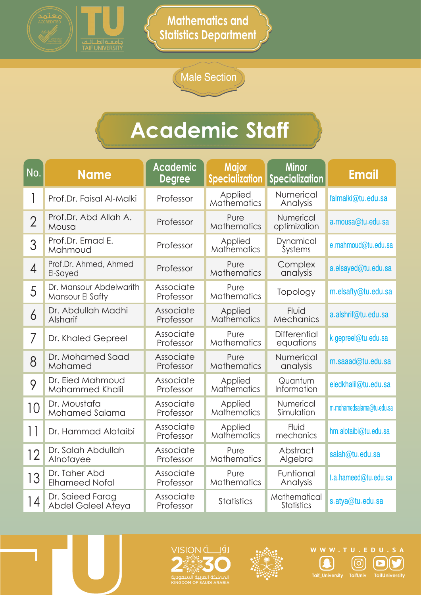

Male Section

| No.            | <b>Name</b>                                 | <b>Academic</b><br><b>Degree</b> | <b>Major</b><br><b>Specialization</b> | <b>Minor</b><br><b>Specialization</b> | <b>Email</b>              |
|----------------|---------------------------------------------|----------------------------------|---------------------------------------|---------------------------------------|---------------------------|
| 1              | Prof.Dr. Faisal Al-Malki                    | Professor                        | Applied<br><b>Mathematics</b>         | Numerical<br>Analysis                 | falmalki@tu.edu.sa        |
| $\overline{2}$ | Prof.Dr. Abd Allah A.<br>Mousa              | Professor                        | Pure<br><b>Mathematics</b>            | Numerical<br>optimization             | a.mousa@tu.edu.sa         |
| 3              | Prof.Dr. Emad E.<br>Mahmoud                 | Professor                        | Applied<br>Mathematics                | Dynamical<br><b>Systems</b>           | e.mahmoud@tu.edu.sa       |
| $\overline{4}$ | Prof.Dr. Ahmed, Ahmed<br>El-Sayed           | Professor                        | Pure<br><b>Mathematics</b>            | Complex<br>analysis                   | a.elsayed@tu.edu.sa       |
| 5              | Dr. Mansour Abdelwarith<br>Mansour El Safty | Associate<br>Professor           | Pure<br><b>Mathematics</b>            | Topology                              | m.elsafty@tu.edu.sa       |
| 6              | Dr. Abdullah Madhi<br>Alsharif              | Associate<br>Professor           | Applied<br>Mathematics                | Fluid<br>Mechanics                    | a.alshrif@tu.edu.sa       |
| 7              | Dr. Khaled Gepreel                          | Associate<br>Professor           | Pure<br><b>Mathematics</b>            | <b>Differential</b><br>equations      | k.gepreel@tu.edu.sa       |
| 8              | Dr. Mohamed Saad<br>Mohamed                 | Associate<br>Professor           | Pure<br><b>Mathematics</b>            | Numerical<br>analysis                 | m.saaad@tu.edu.sa         |
| 9              | Dr. Eied Mahmoud<br>Mohammed Khalil         | Associate<br>Professor           | Applied<br>Mathematics                | Quantum<br>Information                | eiedkhalil@tu.edu.sa      |
| 10             | Dr. Moustafa<br>Mohamed Salama              | Associate<br>Professor           | Applied<br><b>Mathematics</b>         | Numerical<br>Simulation               | m.mohamedsalama@tu.edu.sa |
| 11             | Dr. Hammad Alotaibi                         | Associate<br>Professor           | Applied<br><b>Mathematics</b>         | Fluid<br>mechanics                    | hm.alotaibi@tu.edu.sa     |
| 12             | Dr. Salah Abdullah<br>Alnofayee             | Associate<br>Professor           | Pure<br><b>Mathematics</b>            | Abstract<br>Algebra                   | salah@tu.edu.sa           |
| 13             | Dr. Taher Abd<br><b>Elhameed Nofal</b>      | Associate<br>Professor           | Pure<br>Mathematics                   | Funtional<br>Analysis                 | t.a.hameed@tu.edu.sa      |
| 14             | Dr. Saieed Farag<br>Abdel Galeel Ateya      | Associate<br>Professor           | <b>Statistics</b>                     | Mathematical<br><b>Statistics</b>     | s.atya@tu.edu.sa          |





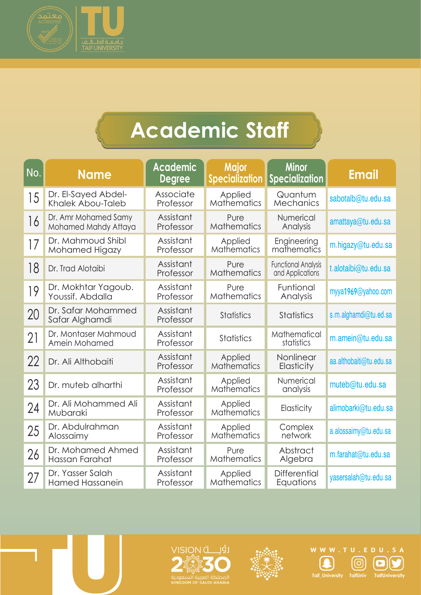

| No. | <b>Name</b>                                  | <b>Academic</b><br><b>Degree</b> | <b>Major</b><br><b>Specialization</b> | <b>Minor</b><br><b>Specialization</b>          | <b>Email</b>            |
|-----|----------------------------------------------|----------------------------------|---------------------------------------|------------------------------------------------|-------------------------|
| 15  | Dr. El-Sayed Abdel-<br>Khalek Abou-Taleb     | Associate<br>Professor           | Applied<br>Mathematics                | Quantum<br>Mechanics                           | sabotalb@tu.edu.sa      |
| 16  | Dr. Amr Mohamed Samy<br>Mohamed Mahdy Attaya | Assistant<br>Professor           | Pure<br>Mathematics                   | Numerical<br>Analysis                          | amattaya@tu.edu.sa      |
| 17  | Dr. Mahmoud Shibl<br>Mohamed Higazy          | Assistant<br>Professor           | Applied<br><b>Mathematics</b>         | Engineering<br>mathematics                     | m.higazy@tu.edu.sa      |
| 18  | Dr. Trad Alotaibi                            | Assistant<br>Professor           | Pure<br>Mathematics                   | <b>Functional Analysis</b><br>and Applications | t.alotaibi@tu.edu.sa    |
| 19  | Dr. Mokhtar Yagoub.<br>Youssif. Abdalla      | Assistant<br>Professor           | Pure<br><b>Mathematics</b>            | Funtional<br>Analysis                          | myya1969@yahoo.com      |
| 20  | Dr. Safar Mohammed<br>Safar Alghamdi         | Assistant<br>Professor           | <b>Statistics</b>                     | <b>Statistics</b>                              | s.m.alghamdi@tu.ed.sa   |
| 21  | Dr. Montaser Mahmoud<br>Amein Mohamed        | Assistant<br>Professor           | <b>Statistics</b>                     | Mathematical<br>statistics                     | m.amein@tu.edu.sa       |
| 22  | Dr. Ali Althobaiti                           | Assistant<br>Professor           | Applied<br>Mathematics                | Nonlinear<br>Elasticity                        | aa.althobaiti@tu.edu.sa |
| 23  | Dr. muteb alharthi                           | Assistant<br>Professor           | Applied<br>Mathematics                | Numerical<br>analysis                          | muteb@tu.edu.sa         |
| 24  | Dr. Ali Mohammed Ali<br>Mubaraki             | Assistant<br>Professor           | Applied<br><b>Mathematics</b>         | Elasticity                                     | alimobarki@tu.edu.sa    |
| 25  | Dr. Abdulrahman<br>Alossaimy                 | Assistant<br>Professor           | Applied<br>Mathematics                | Complex<br>network                             | a.alossaimy@tu.edu.sa   |
| 26  | Dr. Mohamed Ahmed<br>Hassan Farahat          | Assistant<br>Professor           | Pure<br><b>Mathematics</b>            | Abstract<br>Algebra                            | m.farahat@tu.edu.sa     |
| 27  | Dr. Yasser Salah<br><b>Hamed Hassanein</b>   | Assistant<br>Professor           | Applied<br><b>Mathematics</b>         | <b>Differential</b><br>Equations               | yasersalah@tu.edu.sa    |







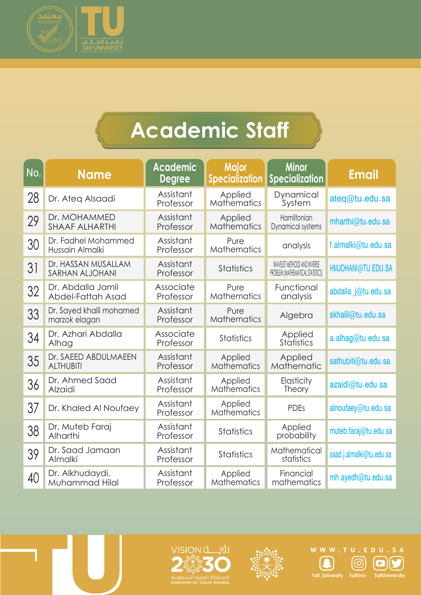

| No. | <b>Name</b>                               | <b>Academic</b><br><b>Degree</b> | <b>Major</b><br><b>Specialization</b> | <b>Minor</b><br>Specialization                                   | <b>Email</b>             |
|-----|-------------------------------------------|----------------------------------|---------------------------------------|------------------------------------------------------------------|--------------------------|
| 28  | Dr. Ateg Alsaadi                          | Assistant<br>Professor           | Applied<br><b>Mathematics</b>         | Dynamical<br>System                                              | ateg@tu.edu.sa           |
| 29  | Dr. MOHAMMED<br><b>SHAAF ALHARTHI</b>     | Assistant<br>Professor           | Applied<br><b>Mathematics</b>         | Hamiltonian<br>Dynamical systems                                 | mharthi@tu.edu.sa        |
| 30  | Dr. Fadhel Mohammed<br>Hussain Almalki    | Assistant<br>Professor           | Pure<br><b>Mathematics</b>            | analysis                                                         | f.almalki@tu.edu.sa      |
| 31  | Dr. HASSAN MUSALLAM<br>SARHAN ALJOHANI    | Assistant<br>Professor           | <b>Statistics</b>                     | WAVELET METHODS AND INVERSE<br>PROBLEM (MATHEMATICAL STATISTICS) | HMJOHANI@TU.EDU.SA       |
| 32  | Dr. Abdalla Jamil<br>Abdel-Fattah Asad    | Associate<br>Professor           | Pure<br><b>Mathematics</b>            | Functional<br>analysis                                           | abdalla j@tu.edu.sa      |
| 33  | Dr. Sayed khalil mohamed<br>marzok elagan | Assistant<br>Professor           | Pure<br>Mathematics                   | Algebra                                                          | skhalil@tu.edu.sa        |
| 34  | Dr. Azhari Abdalla<br>Alhag               | Associate<br>Professor           | <b>Statistics</b>                     | Applied<br><b>Statistics</b>                                     | a.alhag@tu.edu.sa        |
| 35  | Dr. SAEED ABDULMAEEN<br><b>ALTHUBITI</b>  | Assistant<br>Professor           | Applied<br><b>Mathematics</b>         | Applied<br>Mathematic                                            | sathubiti@tu.edu.sa      |
| 36  | Dr. Ahmed Saad<br>Alzaidi                 | Assistant<br>Professor           | Applied<br><b>Mathematics</b>         | Elasticity<br><b>Theory</b>                                      | azaidi@tu.edu.sa         |
| 37  | Dr. Khaled Al Noufaey                     | Assistant<br>Professor           | Applied<br><b>Mathematics</b>         | <b>PDEs</b>                                                      | alnoufaey@tu.edu.sa      |
| 38  | Dr. Muteb Faraj<br>Alharthi               | Assistant<br>Professor           | <b>Statistics</b>                     | Applied<br>probability                                           | muteb.faraj@tu.edu.sa    |
| 39  | Dr. Saad Jamaan<br>Almalki                | Assistant<br>Professor           | <b>Statistics</b>                     | Mathematical<br>statistics                                       | saad.j.almalki@tu.edu.sa |
| 40  | Dr. Alkhudaydi,<br>Muhammad Hilal         | Assistant<br>Professor           | Applied<br><b>Mathematics</b>         | Financial<br>mathematics                                         | mh.ayedh@tu.edu.sa       |







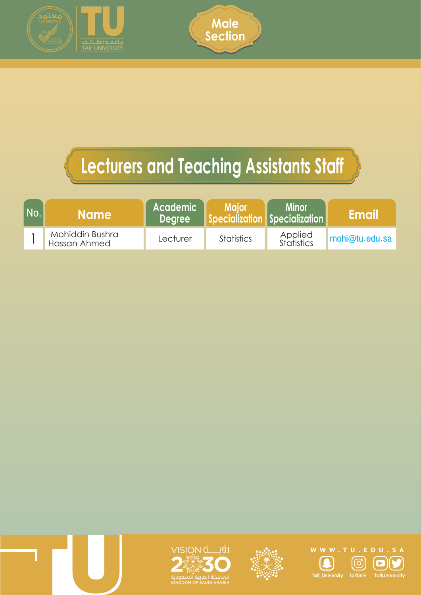



### **Lecturers and Teaching Assistants Staff**

| <b>No</b> | <b>Name</b>                     | Academic<br><b>Dearee</b> | <b>Major</b><br>Specialization Specialization | <b>Minor</b>          | <b>IEmail</b>  |
|-----------|---------------------------------|---------------------------|-----------------------------------------------|-----------------------|----------------|
|           | Mohiddin Bushra<br>Hassan Ahmed | Lecturer                  | <b>Statistics</b>                             | Applied<br>Statistics | mohi@tu.edu.sa |







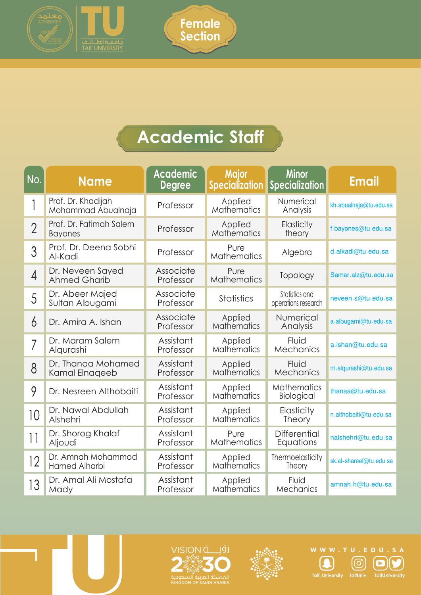



| No.             | <b>Name</b>                               | <b>Academic</b><br><b>Degree</b> | <b>Major</b><br><b>Specialization</b> | <b>Minor</b><br><b>Specialization</b> | <b>Email</b>            |
|-----------------|-------------------------------------------|----------------------------------|---------------------------------------|---------------------------------------|-------------------------|
|                 | Prof. Dr. Khadijah<br>Mohammad Abualnaja  | Professor                        | Applied<br><b>Mathematics</b>         | Numerical<br>Analysis                 | kh.abualnaja@tu.edu.sa  |
| $\overline{2}$  | Prof. Dr. Fatimah Salem<br><b>Bayones</b> | Professor                        | Applied<br><b>Mathematics</b>         | Elasticity<br>theory                  | f.bayones@tu.edu.sa     |
| 3               | Prof. Dr. Deena Sobhi<br>Al-Kadi          | Professor                        | Pure<br><b>Mathematics</b>            | Algebra                               | d.alkadi@tu.edu.sa      |
| $\overline{4}$  | Dr. Neveen Sayed<br><b>Ahmed Gharib</b>   | Associate<br>Professor           | Pure<br><b>Mathematics</b>            | Topology                              | Samar.alz@tu.edu.sa     |
| 5               | Dr. Abeer Majed<br>Sultan Albugami        | Associate<br>Professor           | <b>Statistics</b>                     | Statistics and<br>operations research | neveen.s@tu.edu.sa      |
| 6               | Dr. Amira A. Ishan                        | Associate<br>Professor           | Applied<br>Mathematics                | Numerical<br>Analysis                 | a.albugami@tu.edu.sa    |
| 7               | Dr. Maram Salem<br>Algurashi              | Assistant<br>Professor           | Applied<br><b>Mathematics</b>         | Fluid<br>Mechanics                    | a.ishan@tu.edu.sa       |
| 8               | Dr. Thanaa Mohamed<br>Kamal Elnageeb      | Assistant<br>Professor           | Applied<br><b>Mathematics</b>         | Fluid<br><b>Mechanics</b>             | m.alqurashi@tu.edu.sa   |
| 9               | Dr. Nesreen Althobaiti                    | Assistant<br>Professor           | Applied<br>Mathematics                | <b>Mathematics</b><br>Biological      | thanaa@tu.edu.sa        |
| 10              | Dr. Nawal Abdullah<br>Alshehri            | Assistant<br>Professor           | Applied<br>Mathematics                | Elasticity<br><b>Theory</b>           | n.althobaiti@tu.edu.sa  |
| $\lceil \rceil$ | Dr. Shorog Khalaf<br>Aljoudi              | Assistant<br>Professor           | Pure<br><b>Mathematics</b>            | <b>Differential</b><br>Equations      | nalshehri@tu.edu.sa     |
| 12              | Dr. Amnah Mohammad<br>Hamed Alharbi       | Assistant<br>Professor           | Applied<br>Mathematics                | Thermoelasticity<br><b>Theory</b>     | sk.al-shareef@tu.edu.sa |
| 13              | Dr. Amal Ali Mostafa<br>Mady              | Assistant<br>Professor           | Applied<br><b>Mathematics</b>         | Fluid<br>Mechanics                    | amnah.h@tu.edu.sa       |







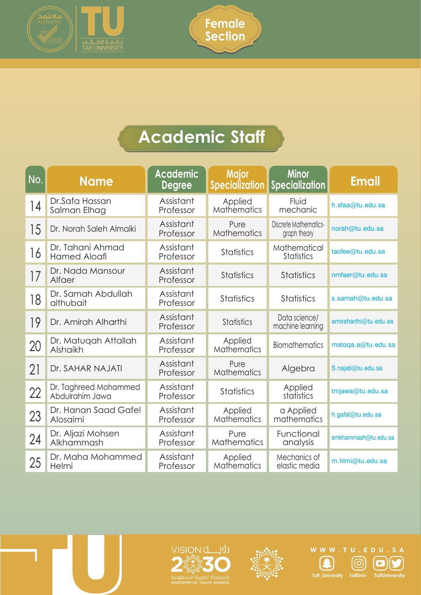



| No. | <b>Name</b>                              | <b>Academic</b><br><b>Degree</b> | <b>Major</b><br><b>Specialization</b> | <b>Minor</b><br><b>Specialization</b> | <b>Email</b>          |
|-----|------------------------------------------|----------------------------------|---------------------------------------|---------------------------------------|-----------------------|
| 4   | Dr.Safa Hassan<br>Salman Elhag           | Assistant<br>Professor           | Applied<br><b>Mathematics</b>         | Fluid<br>mechanic                     | h.sfaa@tu.edu.sa      |
| 15  | Dr. Norah Saleh Almalki                  | Assistant<br>Professor           | Pure<br><b>Mathematics</b>            | Discrete Mathematics-<br>graph theory | norah@tu.edu.sa       |
| 16  | Dr. Tahani Ahmad<br><b>Hamed Aloafi</b>  | Assistant<br>Professor           | <b>Statistics</b>                     | Mathematical<br><b>Statistics</b>     | taofee@tu.edu.sa      |
| 17  | Dr. Nada Mansour<br>Alfaer               | Assistant<br>Professor           | <b>Statistics</b>                     | <b>Statistics</b>                     | nmfaer@tu.edu.sa      |
| 18  | Dr. Samah Abdullah<br>althubait          | Assistant<br>Professor           | <b>Statistics</b>                     | <b>Statistics</b>                     | s.samah@tu.edu.sa     |
| 19  | Dr. Amirah Alharthi                      | Assistant<br>Professor           | <b>Statistics</b>                     | Data science/<br>machine learning     | amiraharthi@tu.edu.sa |
| 20  | Dr. Matugah Attallah<br>Alshaikh         | Assistant<br>Professor           | Applied<br><b>Mathematics</b>         | <b>Biomathematics</b>                 | matoqa.a@tu.edu.sa    |
| 21  | Dr. SAHAR NAJATI                         | Assistant<br>Professor           | Pure<br><b>Mathematics</b>            | Algebra                               | S.najati@tu.edu.sa    |
| 22  | Dr. Taghreed Mohammed<br>Abdulrahim Jawa | Assistant<br>Professor           | <b>Statistics</b>                     | Applied<br>statistics                 | tmjawa@tu.edu.sa      |
| 23  | Dr. Hanan Saad Gafel<br>Alosaimi         | Assistant<br>Professor           | Applied<br><b>Mathematics</b>         | a Applied<br>mathematics              | h.gafal@tu.edu.sa     |
| 24  | Dr. Aljazi Mohsen<br>Alkhammash          | Assistant<br>Professor           | Pure<br><b>Mathematics</b>            | Functional<br>analysis                | amkhammash@tu.edu.sa  |
| 25  | Dr. Maha Mohammed<br>Helmi               | Assistant<br>Professor           | Applied<br><b>Mathematics</b>         | Mechanics of<br>elastic media         | m.hlmi@tu.edu.sa      |